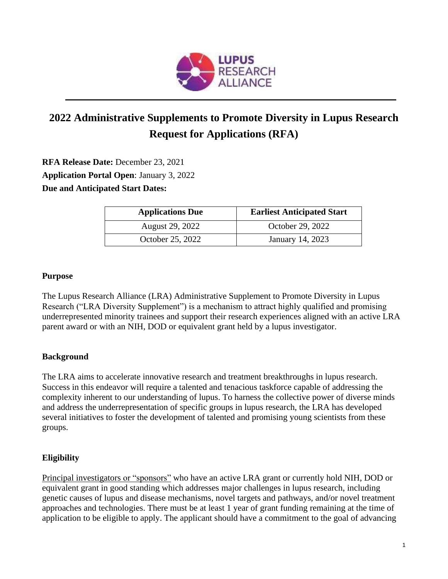

# **2022 Administrative Supplements to Promote Diversity in Lupus Research Request for Applications (RFA)**

**RFA Release Date:** December 23, 2021 **Application Portal Open**: January 3, 2022 **Due and Anticipated Start Dates:**

| <b>Applications Due</b> | <b>Earliest Anticipated Start</b> |
|-------------------------|-----------------------------------|
| August 29, 2022         | October 29, 2022                  |
| October 25, 2022        | January 14, 2023                  |

#### **Purpose**

The Lupus Research Alliance (LRA) Administrative Supplement to Promote Diversity in Lupus Research ("LRA Diversity Supplement") is a mechanism to attract highly qualified and promising underrepresented minority trainees and support their research experiences aligned with an active LRA parent award or with an NIH, DOD or equivalent grant held by a lupus investigator.

### **Background**

The LRA aims to accelerate innovative research and treatment breakthroughs in lupus research. Success in this endeavor will require a talented and tenacious taskforce capable of addressing the complexity inherent to our understanding of lupus. To harness the collective power of diverse minds and address the underrepresentation of specific groups in lupus research, the LRA has developed several initiatives to foster the development of talented and promising young scientists from these groups.

### **Eligibility**

Principal investigators or "sponsors" who have an active LRA grant or currently hold NIH, DOD or equivalent grant in good standing which addresses major challenges in lupus research, including genetic causes of lupus and disease mechanisms, novel targets and pathways, and/or novel treatment approaches and technologies. There must be at least 1 year of grant funding remaining at the time of application to be eligible to apply. The applicant should have a commitment to the goal of advancing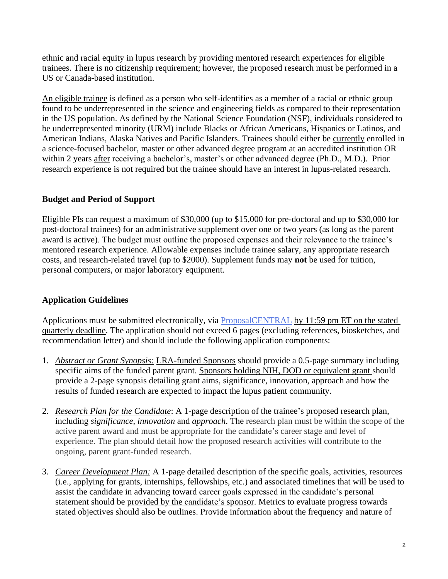ethnic and racial equity in lupus research by providing mentored research experiences for eligible trainees. There is no citizenship requirement; however, the proposed research must be performed in a US or Canada-based institution.

An eligible trainee is defined as a person who self-identifies as a member of a racial or ethnic group found to be underrepresented in the science and engineering fields as compared to their representation in the US population. As defined by the National Science Foundation (NSF), individuals considered to be underrepresented minority (URM) include Blacks or African Americans, Hispanics or Latinos, and American Indians, Alaska Natives and Pacific Islanders. Trainees should either be currently enrolled in a science-focused bachelor, master or other advanced degree program at an accredited institution OR within 2 years after receiving a bachelor's, master's or other advanced degree (Ph.D., M.D.). Prior research experience is not required but the trainee should have an interest in lupus-related research.

## **Budget and Period of Support**

Eligible PIs can request a maximum of \$30,000 (up to \$15,000 for pre-doctoral and up to \$30,000 for post-doctoral trainees) for an administrative supplement over one or two years (as long as the parent award is active). The budget must outline the proposed expenses and their relevance to the trainee's mentored research experience. Allowable expenses include trainee salary, any appropriate research costs, and research-related travel (up to \$2000). Supplement funds may **not** be used for tuition, personal computers, or major laboratory equipment.

### **Application Guidelines**

Applications must be submitted electronically, via [ProposalCENTRAL](https://proposalcentral.altum.com/) by 11:59 pm ET on the stated quarterly deadline. The application should not exceed 6 pages (excluding references, biosketches, and recommendation letter) and should include the following application components:

- 1. *Abstract or Grant Synopsis:* LRA-funded Sponsors should provide a 0.5-page summary including specific aims of the funded parent grant. Sponsors holding NIH, DOD or equivalent grant should provide a 2-page synopsis detailing grant aims, significance, innovation, approach and how the results of funded research are expected to impact the lupus patient community.
- 2. *Research Plan for the Candidate*: A 1-page description of the trainee's proposed research plan, including *significance*, *innovation* and *approach*. The research plan must be within the scope of the active parent award and must be appropriate for the candidate's career stage and level of experience. The plan should detail how the proposed research activities will contribute to the ongoing, parent grant-funded research.
- 3. *Career Development Plan:* A 1-page detailed description of the specific goals, activities, resources (i.e., applying for grants, internships, fellowships, etc.) and associated timelines that will be used to assist the candidate in advancing toward career goals expressed in the candidate's personal statement should be provided by the candidate's sponsor. Metrics to evaluate progress towards stated objectives should also be outlines. Provide information about the frequency and nature of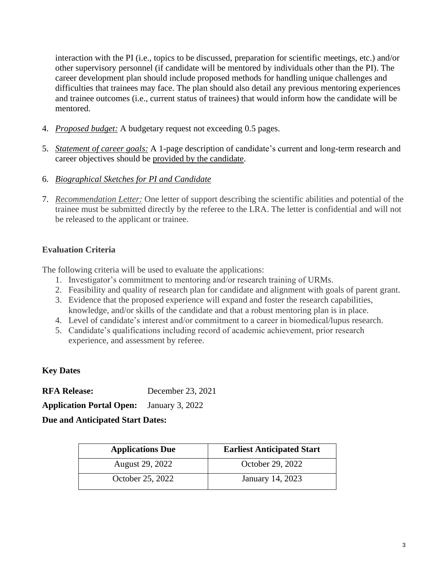interaction with the PI (i.e., topics to be discussed, preparation for scientific meetings, etc.) and/or other supervisory personnel (if candidate will be mentored by individuals other than the PI). The career development plan should include proposed methods for handling unique challenges and difficulties that trainees may face. The plan should also detail any previous mentoring experiences and trainee outcomes (i.e., current status of trainees) that would inform how the candidate will be mentored.

- 4. *Proposed budget:* A budgetary request not exceeding 0.5 pages.
- 5. *Statement of career goals:* A 1-page description of candidate's current and long-term research and career objectives should be provided by the candidate.
- 6. *Biographical Sketches for PI and Candidate*
- 7. *Recommendation Letter:* One letter of support describing the scientific abilities and potential of the trainee must be submitted directly by the referee to the LRA. The letter is confidential and will not be released to the applicant or trainee.

## **Evaluation Criteria**

The following criteria will be used to evaluate the applications:

- 1. Investigator's commitment to mentoring and/or research training of URMs.
- 2. Feasibility and quality of research plan for candidate and alignment with goals of parent grant.
- 3. Evidence that the proposed experience will expand and foster the research capabilities, knowledge, and/or skills of the candidate and that a robust mentoring plan is in place.
- 4. Level of candidate's interest and/or commitment to a career in biomedical/lupus research.
- 5. Candidate's qualifications including record of academic achievement, prior research experience, and assessment by referee.

# **Key Dates**

**RFA Release:** December 23, 2021

**Application Portal Open:** January 3, 2022

## **Due and Anticipated Start Dates:**

| <b>Applications Due</b> | <b>Earliest Anticipated Start</b> |
|-------------------------|-----------------------------------|
| August 29, 2022         | October 29, 2022                  |
| October 25, 2022        | January 14, 2023                  |